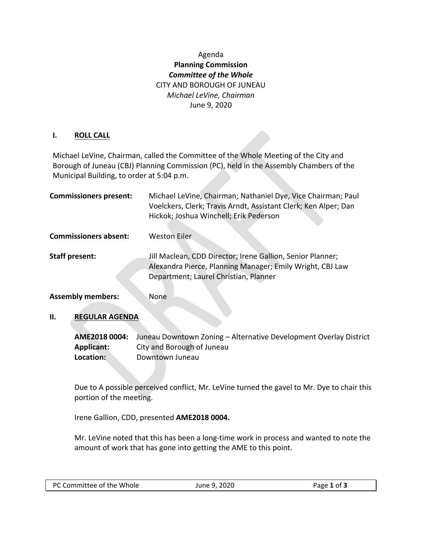## Agenda **Planning Commission** *Committee of the Whole* CITY AND BOROUGH OF JUNEAU *Michael LeVine, Chairman* June 9, 2020

## **I. ROLL CALL**

Michael LeVine, Chairman, called the Committee of the Whole Meeting of the City and Borough of Juneau (CBJ) Planning Commission (PC), held in the Assembly Chambers of the Municipal Building, to order at 5:04 p.m.

| <b>Commissioners present:</b> | Michael LeVine, Chairman; Nathaniel Dye, Vice Chairman; Paul<br>Voelckers, Clerk; Travis Arndt, Assistant Clerk; Ken Alper; Dan<br>Hickok; Joshua Winchell; Erik Pederson |
|-------------------------------|---------------------------------------------------------------------------------------------------------------------------------------------------------------------------|
| <b>Commissioners absent:</b>  | <b>Weston Eiler</b>                                                                                                                                                       |
| <b>Staff present:</b>         | Jill Maclean, CDD Director; Irene Gallion, Senior Planner;<br>Alexandra Pierce, Planning Manager; Emily Wright, CBJ Law<br>Department; Laurel Christian, Planner          |
| <b>Assembly members:</b>      | None                                                                                                                                                                      |

## **II. REGULAR AGENDA**

**AME2018 0004:** Juneau Downtown Zoning – Alternative Development Overlay District **Applicant:** City and Borough of Juneau **Location:** Downtown Juneau

Due to A possible perceived conflict, Mr. LeVine turned the gavel to Mr. Dye to chair this portion of the meeting.

Irene Gallion, CDD, presented **AME2018 0004.**

Mr. LeVine noted that this has been a long-time work in process and wanted to note the amount of work that has gone into getting the AME to this point.

| PC Committee of the Whole | June 9, 2020 | Page 1 of 3 |
|---------------------------|--------------|-------------|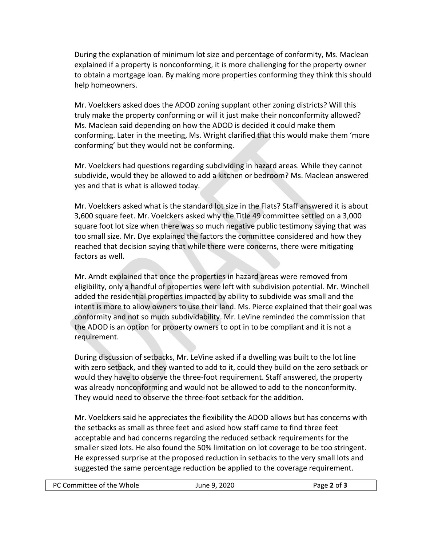During the explanation of minimum lot size and percentage of conformity, Ms. Maclean explained if a property is nonconforming, it is more challenging for the property owner to obtain a mortgage loan. By making more properties conforming they think this should help homeowners.

Mr. Voelckers asked does the ADOD zoning supplant other zoning districts? Will this truly make the property conforming or will it just make their nonconformity allowed? Ms. Maclean said depending on how the ADOD is decided it could make them conforming. Later in the meeting, Ms. Wright clarified that this would make them 'more conforming' but they would not be conforming.

Mr. Voelckers had questions regarding subdividing in hazard areas. While they cannot subdivide, would they be allowed to add a kitchen or bedroom? Ms. Maclean answered yes and that is what is allowed today.

Mr. Voelckers asked what is the standard lot size in the Flats? Staff answered it is about 3,600 square feet. Mr. Voelckers asked why the Title 49 committee settled on a 3,000 square foot lot size when there was so much negative public testimony saying that was too small size. Mr. Dye explained the factors the committee considered and how they reached that decision saying that while there were concerns, there were mitigating factors as well.

Mr. Arndt explained that once the properties in hazard areas were removed from eligibility, only a handful of properties were left with subdivision potential. Mr. Winchell added the residential properties impacted by ability to subdivide was small and the intent is more to allow owners to use their land. Ms. Pierce explained that their goal was conformity and not so much subdividability. Mr. LeVine reminded the commission that the ADOD is an option for property owners to opt in to be compliant and it is not a requirement.

During discussion of setbacks, Mr. LeVine asked if a dwelling was built to the lot line with zero setback, and they wanted to add to it, could they build on the zero setback or would they have to observe the three-foot requirement. Staff answered, the property was already nonconforming and would not be allowed to add to the nonconformity. They would need to observe the three-foot setback for the addition.

Mr. Voelckers said he appreciates the flexibility the ADOD allows but has concerns with the setbacks as small as three feet and asked how staff came to find three feet acceptable and had concerns regarding the reduced setback requirements for the smaller sized lots. He also found the 50% limitation on lot coverage to be too stringent. He expressed surprise at the proposed reduction in setbacks to the very small lots and suggested the same percentage reduction be applied to the coverage requirement.

| PC Committee of the Whole | June 9, 2020 | Page 2 of 3 |
|---------------------------|--------------|-------------|
|---------------------------|--------------|-------------|